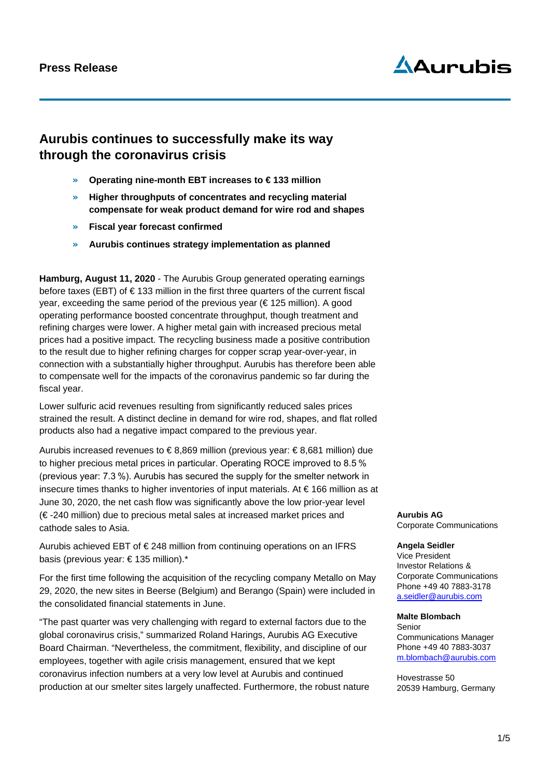# $\Delta$ Aurubis

### **Aurubis continues to successfully make its way through the coronavirus crisis**

- » **Operating nine-month EBT increases to € 133 million**
- » **Higher throughputs of concentrates and recycling material compensate for weak product demand for wire rod and shapes**
- » **Fiscal year forecast confirmed**
- » **Aurubis continues strategy implementation as planned**

**Hamburg, August 11, 2020** - The Aurubis Group generated operating earnings before taxes (EBT) of  $\epsilon$  133 million in the first three quarters of the current fiscal year, exceeding the same period of the previous year (€ 125 million). A good operating performance boosted concentrate throughput, though treatment and refining charges were lower. A higher metal gain with increased precious metal prices had a positive impact. The recycling business made a positive contribution to the result due to higher refining charges for copper scrap year-over-year, in connection with a substantially higher throughput. Aurubis has therefore been able to compensate well for the impacts of the coronavirus pandemic so far during the fiscal year.

Lower sulfuric acid revenues resulting from significantly reduced sales prices strained the result. A distinct decline in demand for wire rod, shapes, and flat rolled products also had a negative impact compared to the previous year.

Aurubis increased revenues to  $\epsilon$ 8,869 million (previous year:  $\epsilon$ 8,681 million) due to higher precious metal prices in particular. Operating ROCE improved to 8.5 % (previous year: 7.3 %). Aurubis has secured the supply for the smelter network in insecure times thanks to higher inventories of input materials. At € 166 million as at June 30, 2020, the net cash flow was significantly above the low prior-year level (€ -240 million) due to precious metal sales at increased market prices and cathode sales to Asia.

Aurubis achieved EBT of € 248 million from continuing operations on an IFRS basis (previous year: € 135 million).\*

For the first time following the acquisition of the recycling company Metallo on May 29, 2020, the new sites in Beerse (Belgium) and Berango (Spain) were included in the consolidated financial statements in June.

"The past quarter was very challenging with regard to external factors due to the global coronavirus crisis," summarized Roland Harings, Aurubis AG Executive Board Chairman. "Nevertheless, the commitment, flexibility, and discipline of our employees, together with agile crisis management, ensured that we kept coronavirus infection numbers at a very low level at Aurubis and continued production at our smelter sites largely unaffected. Furthermore, the robust nature

**Aurubis AG** Corporate Communications

#### **Angela Seidler** Vice President Investor Relations & Corporate Communications

Phone +49 40 7883-3178 [a.seidler@aurubis.com](mailto:a.seidler@aurubis.com)

#### **Malte Blombach** Senior

Communications Manager Phone +49 40 7883-3037 m.blombach@aurubis.com

Hovestrasse 50 20539 Hamburg, Germany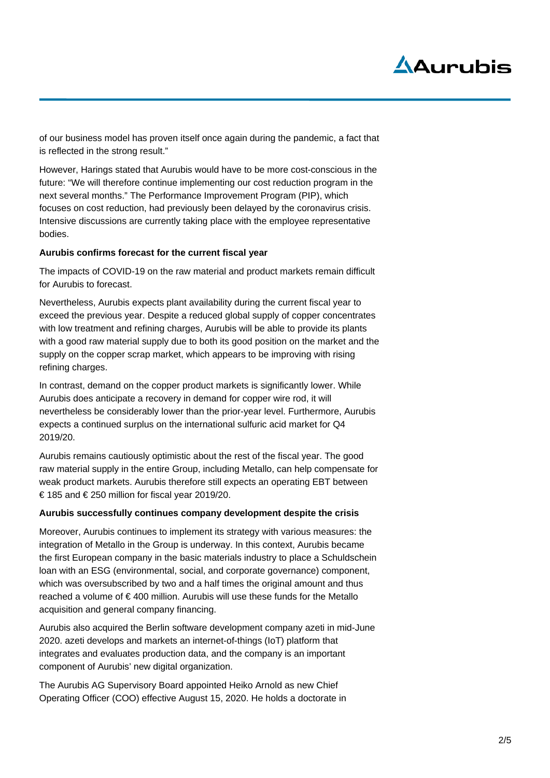# $\Delta$ Aurubis

of our business model has proven itself once again during the pandemic, a fact that is reflected in the strong result."

However, Harings stated that Aurubis would have to be more cost-conscious in the future: "We will therefore continue implementing our cost reduction program in the next several months." The Performance Improvement Program (PIP), which focuses on cost reduction, had previously been delayed by the coronavirus crisis. Intensive discussions are currently taking place with the employee representative bodies.

### **Aurubis confirms forecast for the current fiscal year**

The impacts of COVID-19 on the raw material and product markets remain difficult for Aurubis to forecast.

Nevertheless, Aurubis expects plant availability during the current fiscal year to exceed the previous year. Despite a reduced global supply of copper concentrates with low treatment and refining charges, Aurubis will be able to provide its plants with a good raw material supply due to both its good position on the market and the supply on the copper scrap market, which appears to be improving with rising refining charges.

In contrast, demand on the copper product markets is significantly lower. While Aurubis does anticipate a recovery in demand for copper wire rod, it will nevertheless be considerably lower than the prior-year level. Furthermore, Aurubis expects a continued surplus on the international sulfuric acid market for Q4 2019/20.

Aurubis remains cautiously optimistic about the rest of the fiscal year. The good raw material supply in the entire Group, including Metallo, can help compensate for weak product markets. Aurubis therefore still expects an operating EBT between € 185 and € 250 million for fiscal year 2019/20.

### **Aurubis successfully continues company development despite the crisis**

Moreover, Aurubis continues to implement its strategy with various measures: the integration of Metallo in the Group is underway. In this context, Aurubis became the first European company in the basic materials industry to place a Schuldschein loan with an ESG (environmental, social, and corporate governance) component, which was oversubscribed by two and a half times the original amount and thus reached a volume of € 400 million. Aurubis will use these funds for the Metallo acquisition and general company financing.

Aurubis also acquired the Berlin software development company azeti in mid-June 2020. azeti develops and markets an internet-of-things (IoT) platform that integrates and evaluates production data, and the company is an important component of Aurubis' new digital organization.

The Aurubis AG Supervisory Board appointed Heiko Arnold as new Chief Operating Officer (COO) effective August 15, 2020. He holds a doctorate in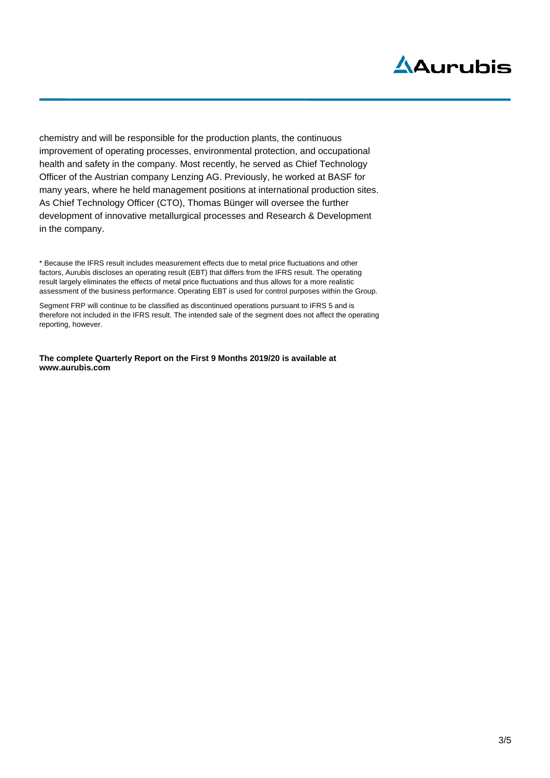# Aurubis

chemistry and will be responsible for the production plants, the continuous improvement of operating processes, environmental protection, and occupational health and safety in the company. Most recently, he served as Chief Technology Officer of the Austrian company Lenzing AG. Previously, he worked at BASF for many years, where he held management positions at international production sites. As Chief Technology Officer (CTO), Thomas Bünger will oversee the further development of innovative metallurgical processes and Research & Development in the company.

\* Because the IFRS result includes measurement effects due to metal price fluctuations and other factors, Aurubis discloses an operating result (EBT) that differs from the IFRS result. The operating result largely eliminates the effects of metal price fluctuations and thus allows for a more realistic assessment of the business performance. Operating EBT is used for control purposes within the Group.

Segment FRP will continue to be classified as discontinued operations pursuant to IFRS 5 and is therefore not included in the IFRS result. The intended sale of the segment does not affect the operating reporting, however.

**The complete Quarterly Report on the First 9 Months 2019/20 is available at www.aurubis.com**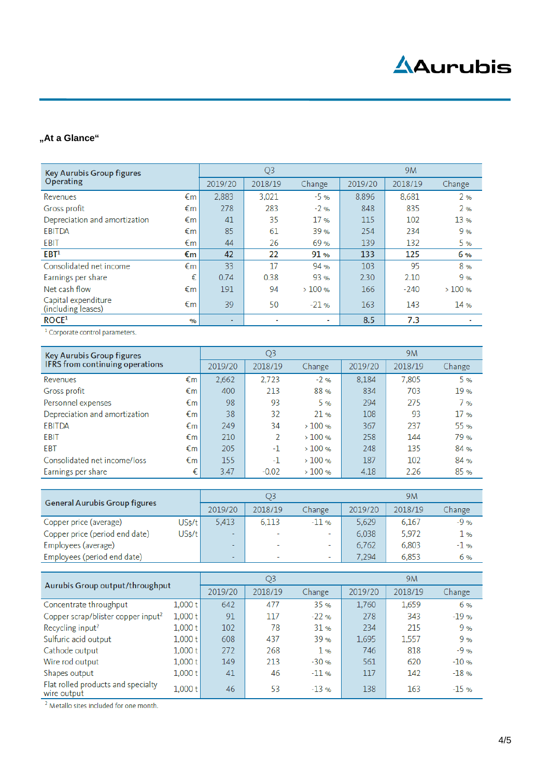# **Aurubis**

### **"At a Glance"**

| <b>Key Aurubis Group figures</b><br>Operating |               |         | Q <sub>3</sub> |        | 9M      |         |        |
|-----------------------------------------------|---------------|---------|----------------|--------|---------|---------|--------|
|                                               |               | 2019/20 | 2018/19        | Change | 2019/20 | 2018/19 | Change |
| Revenues                                      | €m            | 2,883   | 3.021          | $-5%$  | 8,896   | 8,681   | 2%     |
| Gross profit                                  | €m            | 278     | 283            | $-2%$  | 848     | 835     | 2%     |
| Depreciation and amortization                 | €m            | 41      | 35             | 17%    | 115     | 102     | 13 %   |
| <b>EBITDA</b>                                 | €m            | 85      | 61             | 39 %   | 254     | 234     | 9%     |
| EBIT                                          | €m            | 44      | 26             | 69 %   | 139     | 132     | 5%     |
| EBT <sup>1</sup>                              | €m            | 42      | 22             | 91%    | 133     | 125     | 6%     |
| Consolidated net income                       | €m            | 33      | 17             | 94 %   | 103     | 95      | 8%     |
| Earnings per share                            | €             | 0.74    | 0.38           | 93 %   | 2.30    | 2.10    | 9%     |
| Net cash flow                                 | €m            | 191     | 94             | >100%  | 166     | $-240$  | >100%  |
| Capital expenditure<br>(including leases)     | €m            | 39      | 50             | $-21%$ | 163     | 143     | 14 %   |
| ROCE <sup>1</sup>                             | $\frac{1}{2}$ | ۰       |                | ٠      | 8.5     | 7.3     |        |

<sup>1</sup> Corporate control parameters.

| <b>Key Aurubis Group figures</b><br>IFRS from continuing operations |    | Q3      |         |        | 9M      |         |        |  |
|---------------------------------------------------------------------|----|---------|---------|--------|---------|---------|--------|--|
|                                                                     |    | 2019/20 | 2018/19 | Change | 2019/20 | 2018/19 | Change |  |
| Revenues                                                            | €m | 2,662   | 2,723   | $-2%$  | 8,184   | 7,805   | 5 %    |  |
| Gross profit                                                        | €m | 400     | 213     | 88%    | 834     | 703     | 19 %   |  |
| Personnel expenses                                                  | €m | 98      | 93      | 5%     | 294     | 275     | 7 %    |  |
| Depreciation and amortization                                       | €m | 38      | 32      | 21%    | 108     | 93      | 17 %   |  |
| <b>EBITDA</b>                                                       | €m | 249     | 34      | >100%  | 367     | 237     | 55 %   |  |
| <b>EBIT</b>                                                         | €m | 210     | 2       | >100%  | 258     | 144     | 79%    |  |
| <b>EBT</b>                                                          | €m | 205     | $-1$    | >100%  | 248     | 135     | 84 %   |  |
| Consolidated net income/loss                                        | €m | 155     | -1      | >100%  | 187     | 102     | 84 %   |  |
| Earnings per share                                                  | €  | 3.47    | $-0.02$ | >100%  | 4.18    | 2.26    | 85%    |  |

| <b>General Aurubis Group figures</b> |        | Q3                       |                          |                          | 9M      |         |        |
|--------------------------------------|--------|--------------------------|--------------------------|--------------------------|---------|---------|--------|
|                                      |        | 2019/20                  | 2018/19                  | Change                   | 2019/20 | 2018/19 | Change |
| Copper price (average)               | US\$/t | 5.413                    | 6.113                    | $-11$ %                  | 5.629   | 6.167   | $-9%$  |
| Copper price (period end date)       | US\$/t | $\overline{\phantom{a}}$ | $\overline{\phantom{a}}$ | ۰                        | 6.038   | 5.972   | 1 %    |
| Employees (average)                  |        | $\overline{\phantom{a}}$ | $\overline{\phantom{a}}$ | $\overline{\phantom{a}}$ | 6,762   | 6,803   | $-1$ % |
| Employees (period end date)          |        | $\overline{\phantom{a}}$ | $\overline{\phantom{a}}$ | $\overline{\phantom{a}}$ | 7.294   | 6,853   | 6 %    |

| Aurubis Group output/throughput                   |         | Q3      |         |        | 9M      |         |        |  |
|---------------------------------------------------|---------|---------|---------|--------|---------|---------|--------|--|
|                                                   |         | 2019/20 | 2018/19 | Change | 2019/20 | 2018/19 | Change |  |
| Concentrate throughput                            | 1,000 t | 642     | 477     | 35%    | 1,760   | 1,659   | 6 %    |  |
| Copper scrap/blister copper input <sup>2</sup>    | 1,000 t | 91      | 117     | $-22%$ | 278     | 343     | $-19%$ |  |
| Recycling input <sup>2</sup>                      | 1,000 t | 102     | 78      | 31%    | 234     | 215     | 9%     |  |
| Sulfuric acid output                              | 1,000 t | 608     | 437     | 39 %   | 1,695   | 1.557   | 9%     |  |
| Cathode output                                    | 1,000 t | 272     | 268     | 1%     | 746     | 818     | $-9%$  |  |
| Wire rod output                                   | 1,000 t | 149     | 213     | $-30%$ | 561     | 620     | $-10%$ |  |
| Shapes output                                     | 1,000 t | 41      | 46      | $-11%$ | 117     | 142     | $-18%$ |  |
| Flat rolled products and specialty<br>wire output | 1,000 t | 46      | 53      | $-13%$ | 138     | 163     | $-15%$ |  |

<sup>2</sup> Metallo sites included for one month.